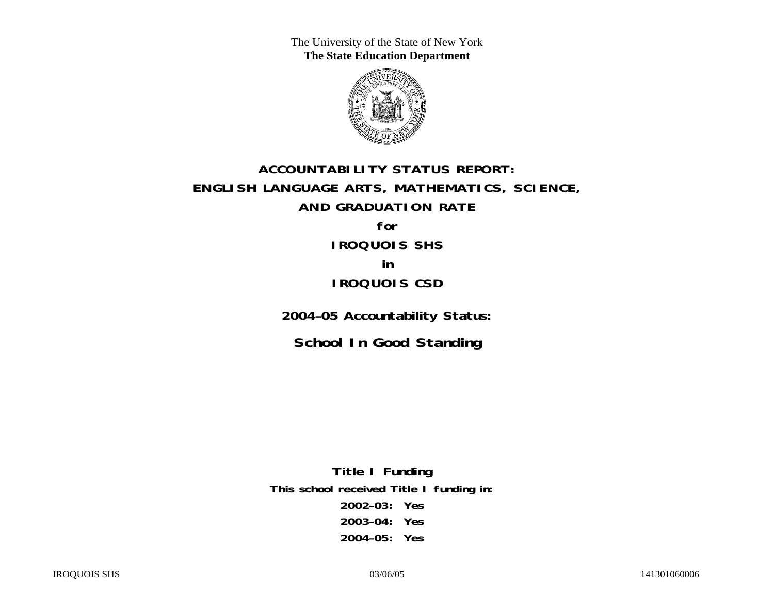The University of the State of New York **The State Education Department** 



# **ACCOUNTABILITY STATUS REPORT: ENGLISH LANGUAGE ARTS, MATHEMATICS, SCIENCE, AND GRADUATION RATE for IROQUOIS SHS in**

### **IROQUOIS CSD**

**2004–05 Accountability Status:** 

**School In Good Standing** 

**Title I Funding This school received Title I funding in: 2002–03: Yes 2003–04: Yes 2004–05: Yes**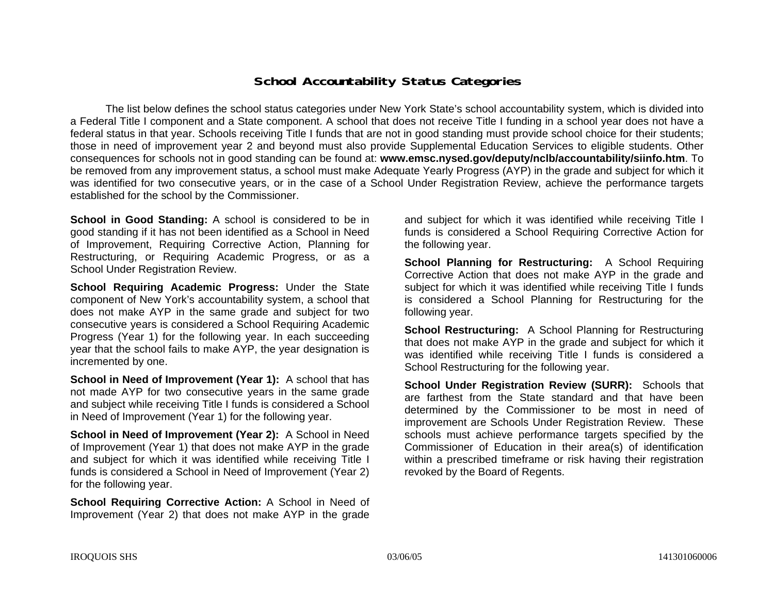### **School Accountability Status Categories**

The list below defines the school status categories under New York State's school accountability system, which is divided into a Federal Title I component and a State component. A school that does not receive Title I funding in a school year does not have a federal status in that year. Schools receiving Title I funds that are not in good standing must provide school choice for their students; those in need of improvement year 2 and beyond must also provide Supplemental Education Services to eligible students. Other consequences for schools not in good standing can be found at: **www.emsc.nysed.gov/deputy/nclb/accountability/siinfo.htm**. To be removed from any improvement status, a school must make Adequate Yearly Progress (AYP) in the grade and subject for which it was identified for two consecutive years, or in the case of a School Under Registration Review, achieve the performance targets established for the school by the Commissioner.

**School in Good Standing:** A school is considered to be in good standing if it has not been identified as a School in Need of Improvement, Requiring Corrective Action, Planning for Restructuring, or Requiring Academic Progress, or as a School Under Registration Review.

**School Requiring Academic Progress:** Under the State component of New York's accountability system, a school that does not make AYP in the same grade and subject for two consecutive years is considered a School Requiring Academic Progress (Year 1) for the following year. In each succeeding year that the school fails to make AYP, the year designation is incremented by one.

**School in Need of Improvement (Year 1):** A school that has not made AYP for two consecutive years in the same grade and subject while receiving Title I funds is considered a School in Need of Improvement (Year 1) for the following year.

**School in Need of Improvement (Year 2):** A School in Need of Improvement (Year 1) that does not make AYP in the grade and subject for which it was identified while receiving Title I funds is considered a School in Need of Improvement (Year 2) for the following year.

**School Requiring Corrective Action:** A School in Need of Improvement (Year 2) that does not make AYP in the grade

and subject for which it was identified while receiving Title I funds is considered a School Requiring Corrective Action for the following year.

**School Planning for Restructuring:** A School Requiring Corrective Action that does not make AYP in the grade and subject for which it was identified while receiving Title I funds is considered a School Planning for Restructuring for the following year.

**School Restructuring:** A School Planning for Restructuring that does not make AYP in the grade and subject for which it was identified while receiving Title I funds is considered a School Restructuring for the following year.

**School Under Registration Review (SURR):** Schools that are farthest from the State standard and that have been determined by the Commissioner to be most in need of improvement are Schools Under Registration Review. These schools must achieve performance targets specified by the Commissioner of Education in their area(s) of identification within a prescribed timeframe or risk having their registration revoked by the Board of Regents.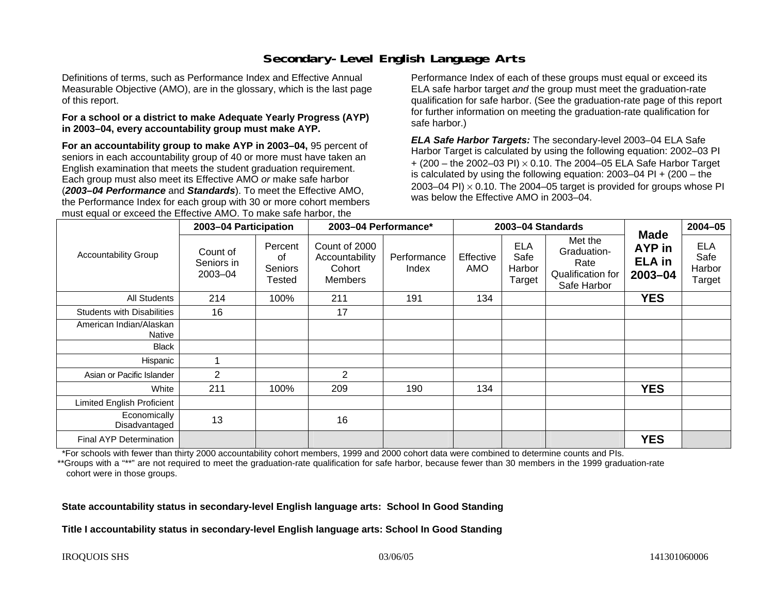# **Secondary-Level English Language Arts**

Definitions of terms, such as Performance Index and Effective Annual Measurable Objective (AMO), are in the glossary, which is the last page of this report.

#### **For a school or a district to make Adequate Yearly Progress (AYP) in 2003–04, every accountability group must make AYP.**

**For an accountability group to make AYP in 2003–04,** 95 percent of seniors in each accountability group of 40 or more must have taken an English examination that meets the student graduation requirement. Each group must also meet its Effective AMO *or* make safe harbor (*2003–04 Performance* and *Standards*). To meet the Effective AMO, the Performance Index for each group with 30 or more cohort members must equal or exceed the Effective AMO. To make safe harbor, the

Performance Index of each of these groups must equal or exceed its ELA safe harbor target *and* the group must meet the graduation-rate qualification for safe harbor. (See the graduation-rate page of this report for further information on meeting the graduation-rate qualification for safe harbor.)

*ELA Safe Harbor Targets:* The secondary-level 2003–04 ELA Safe Harbor Target is calculated by using the following equation: 2002–03 PI + (200 – the 2002–03 PI) <sup>×</sup> 0.10. The 2004–05 ELA Safe Harbor Target is calculated by using the following equation: 2003–04 PI + (200 – the 2003–04 PI)  $\times$  0.10. The 2004–05 target is provided for groups whose PI was below the Effective AMO in 2003–04.

| <b>Accountability Group</b>       | 2003-04 Participation                 |                                           | 2003-04 Performance*                                 |                      | 2003-04 Standards |                                        |                                                                    |                                                       | $2004 - 05$                            |
|-----------------------------------|---------------------------------------|-------------------------------------------|------------------------------------------------------|----------------------|-------------------|----------------------------------------|--------------------------------------------------------------------|-------------------------------------------------------|----------------------------------------|
|                                   | Count of<br>Seniors in<br>$2003 - 04$ | Percent<br>οf<br><b>Seniors</b><br>Tested | Count of 2000<br>Accountability<br>Cohort<br>Members | Performance<br>Index | Effective<br>AMO  | <b>ELA</b><br>Safe<br>Harbor<br>Target | Met the<br>Graduation-<br>Rate<br>Qualification for<br>Safe Harbor | <b>Made</b><br>AYP in<br><b>ELA</b> in<br>$2003 - 04$ | <b>ELA</b><br>Safe<br>Harbor<br>Target |
| All Students                      | 214                                   | 100%                                      | 211                                                  | 191                  | 134               |                                        |                                                                    | <b>YES</b>                                            |                                        |
| <b>Students with Disabilities</b> | 16                                    |                                           | 17                                                   |                      |                   |                                        |                                                                    |                                                       |                                        |
| American Indian/Alaskan<br>Native |                                       |                                           |                                                      |                      |                   |                                        |                                                                    |                                                       |                                        |
| <b>Black</b>                      |                                       |                                           |                                                      |                      |                   |                                        |                                                                    |                                                       |                                        |
| Hispanic                          |                                       |                                           |                                                      |                      |                   |                                        |                                                                    |                                                       |                                        |
| Asian or Pacific Islander         | 2                                     |                                           | $\overline{2}$                                       |                      |                   |                                        |                                                                    |                                                       |                                        |
| White                             | 211                                   | 100%                                      | 209                                                  | 190                  | 134               |                                        |                                                                    | <b>YES</b>                                            |                                        |
| <b>Limited English Proficient</b> |                                       |                                           |                                                      |                      |                   |                                        |                                                                    |                                                       |                                        |
| Economically<br>Disadvantaged     | 13                                    |                                           | 16                                                   |                      |                   |                                        |                                                                    |                                                       |                                        |
| <b>Final AYP Determination</b>    |                                       |                                           |                                                      |                      |                   |                                        |                                                                    | <b>YES</b>                                            |                                        |

\*For schools with fewer than thirty 2000 accountability cohort members, 1999 and 2000 cohort data were combined to determine counts and PIs.

\*\*Groups with a "\*\*" are not required to meet the graduation-rate qualification for safe harbor, because fewer than 30 members in the 1999 graduation-rate cohort were in those groups.

**State accountability status in secondary-level English language arts: School In Good Standing** 

**Title I accountability status in secondary-level English language arts: School In Good Standing**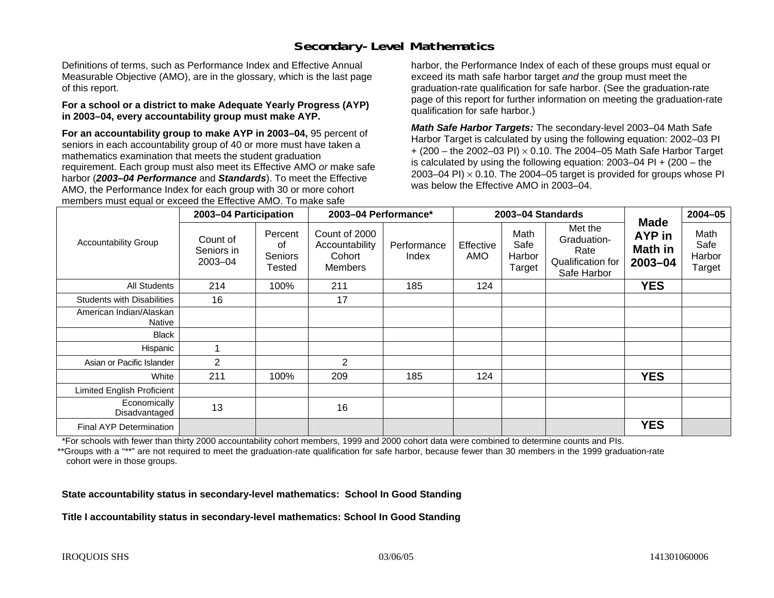# **Secondary-Level Mathematics**

Definitions of terms, such as Performance Index and Effective Annual Measurable Objective (AMO), are in the glossary, which is the last page of this report.

#### **For a school or a district to make Adequate Yearly Progress (AYP) in 2003–04, every accountability group must make AYP.**

**For an accountability group to make AYP in 2003–04,** 95 percent of seniors in each accountability group of 40 or more must have taken a mathematics examination that meets the student graduation requirement. Each group must also meet its Effective AMO *or* make safe harbor (*2003–04 Performance* and *Standards*). To meet the Effective AMO, the Performance Index for each group with 30 or more cohort members must equal or exceed the Effective AMO. To make safe

harbor, the Performance Index of each of these groups must equal or exceed its math safe harbor target *and* the group must meet the graduation-rate qualification for safe harbor. (See the graduation-rate page of this report for further information on meeting the graduation-rate qualification for safe harbor.)

*Math Safe Harbor Targets:* The secondary-level 2003–04 Math Safe Harbor Target is calculated by using the following equation: 2002–03 PI + (200 – the 2002–03 PI) <sup>×</sup> 0.10. The 2004–05 Math Safe Harbor Target is calculated by using the following equation: 2003–04 PI + (200 – the 2003–04 PI)  $\times$  0.10. The 2004–05 target is provided for groups whose PI was below the Effective AMO in 2003–04.

| <b>Accountability Group</b>       | 2003-04 Participation             |                                    | 2003-04 Performance*                                        |                      | 2003-04 Standards |                                  |                                                                    |                                                    | $2004 - 05$                      |
|-----------------------------------|-----------------------------------|------------------------------------|-------------------------------------------------------------|----------------------|-------------------|----------------------------------|--------------------------------------------------------------------|----------------------------------------------------|----------------------------------|
|                                   | Count of<br>Seniors in<br>2003-04 | Percent<br>οf<br>Seniors<br>Tested | Count of 2000<br>Accountability<br>Cohort<br><b>Members</b> | Performance<br>Index | Effective<br>AMO  | Math<br>Safe<br>Harbor<br>Target | Met the<br>Graduation-<br>Rate<br>Qualification for<br>Safe Harbor | <b>Made</b><br>AYP in<br><b>Math in</b><br>2003-04 | Math<br>Safe<br>Harbor<br>Target |
| <b>All Students</b>               | 214                               | 100%                               | 211                                                         | 185                  | 124               |                                  |                                                                    | <b>YES</b>                                         |                                  |
| <b>Students with Disabilities</b> | 16                                |                                    | 17                                                          |                      |                   |                                  |                                                                    |                                                    |                                  |
| American Indian/Alaskan<br>Native |                                   |                                    |                                                             |                      |                   |                                  |                                                                    |                                                    |                                  |
| <b>Black</b>                      |                                   |                                    |                                                             |                      |                   |                                  |                                                                    |                                                    |                                  |
| Hispanic                          |                                   |                                    |                                                             |                      |                   |                                  |                                                                    |                                                    |                                  |
| Asian or Pacific Islander         | 2                                 |                                    | $\overline{2}$                                              |                      |                   |                                  |                                                                    |                                                    |                                  |
| White                             | 211                               | 100%                               | 209                                                         | 185                  | 124               |                                  |                                                                    | <b>YES</b>                                         |                                  |
| <b>Limited English Proficient</b> |                                   |                                    |                                                             |                      |                   |                                  |                                                                    |                                                    |                                  |
| Economically<br>Disadvantaged     | 13                                |                                    | 16                                                          |                      |                   |                                  |                                                                    |                                                    |                                  |
| Final AYP Determination           |                                   |                                    |                                                             |                      |                   |                                  |                                                                    | <b>YES</b>                                         |                                  |

\*For schools with fewer than thirty 2000 accountability cohort members, 1999 and 2000 cohort data were combined to determine counts and PIs.

\*\*Groups with a "\*\*" are not required to meet the graduation-rate qualification for safe harbor, because fewer than 30 members in the 1999 graduation-rate cohort were in those groups.

**State accountability status in secondary-level mathematics: School In Good Standing** 

**Title I accountability status in secondary-level mathematics: School In Good Standing**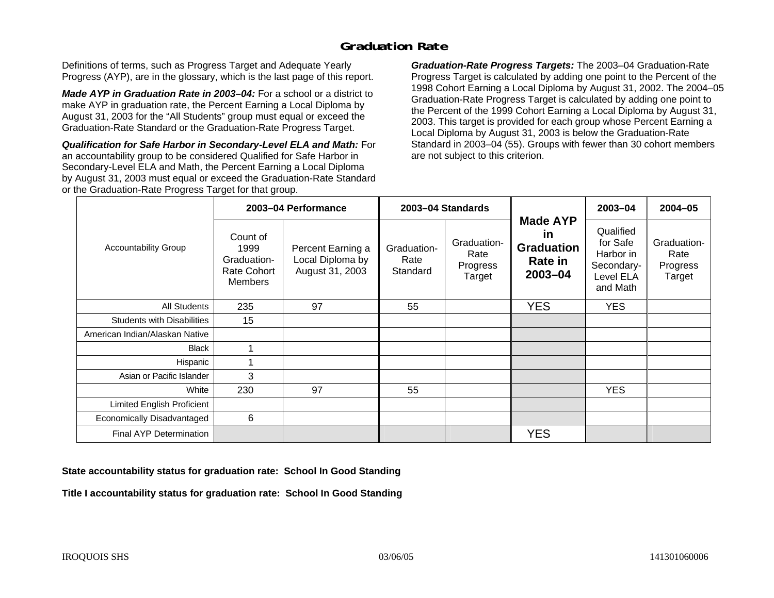# **Graduation Rate**

Definitions of terms, such as Progress Target and Adequate Yearly Progress (AYP), are in the glossary, which is the last page of this report.

*Made AYP in Graduation Rate in 2003–04:* For a school or a district to make AYP in graduation rate, the Percent Earning a Local Diploma by August 31, 2003 for the "All Students" group must equal or exceed the Graduation-Rate Standard or the Graduation-Rate Progress Target.

*Qualification for Safe Harbor in Secondary-Level ELA and Math:* For an accountability group to be considered Qualified for Safe Harbor in Secondary-Level ELA and Math, the Percent Earning a Local Diploma by August 31, 2003 must equal or exceed the Graduation-Rate Standard or the Graduation-Rate Progress Target for that group.

*Graduation-Rate Progress Targets:* The 2003–04 Graduation-Rate Progress Target is calculated by adding one point to the Percent of the 1998 Cohort Earning a Local Diploma by August 31, 2002. The 2004–05 Graduation-Rate Progress Target is calculated by adding one point to the Percent of the 1999 Cohort Earning a Local Diploma by August 31, 2003. This target is provided for each group whose Percent Earning a Local Diploma by August 31, 2003 is below the Graduation-Rate Standard in 2003–04 (55). Groups with fewer than 30 cohort members are not subject to this criterion.

|                                   |                                                                         | 2003-04 Performance                                      |                                 | 2003-04 Standards                         | <b>Made AYP</b><br><u>in</u><br><b>Graduation</b><br>Rate in<br>$2003 - 04$ | $2003 - 04$                                                               | $2004 - 05$                               |
|-----------------------------------|-------------------------------------------------------------------------|----------------------------------------------------------|---------------------------------|-------------------------------------------|-----------------------------------------------------------------------------|---------------------------------------------------------------------------|-------------------------------------------|
| Accountability Group              | Count of<br>1999<br>Graduation-<br><b>Rate Cohort</b><br><b>Members</b> | Percent Earning a<br>Local Diploma by<br>August 31, 2003 | Graduation-<br>Rate<br>Standard | Graduation-<br>Rate<br>Progress<br>Target |                                                                             | Qualified<br>for Safe<br>Harbor in<br>Secondary-<br>Level ELA<br>and Math | Graduation-<br>Rate<br>Progress<br>Target |
| <b>All Students</b>               | 235                                                                     | 97                                                       | 55                              |                                           | <b>YES</b>                                                                  | <b>YES</b>                                                                |                                           |
| <b>Students with Disabilities</b> | 15                                                                      |                                                          |                                 |                                           |                                                                             |                                                                           |                                           |
| American Indian/Alaskan Native    |                                                                         |                                                          |                                 |                                           |                                                                             |                                                                           |                                           |
| <b>Black</b>                      | 1                                                                       |                                                          |                                 |                                           |                                                                             |                                                                           |                                           |
| Hispanic                          |                                                                         |                                                          |                                 |                                           |                                                                             |                                                                           |                                           |
| Asian or Pacific Islander         | 3                                                                       |                                                          |                                 |                                           |                                                                             |                                                                           |                                           |
| White                             | 230                                                                     | 97                                                       | 55                              |                                           |                                                                             | <b>YES</b>                                                                |                                           |
| <b>Limited English Proficient</b> |                                                                         |                                                          |                                 |                                           |                                                                             |                                                                           |                                           |
| Economically Disadvantaged        | 6                                                                       |                                                          |                                 |                                           |                                                                             |                                                                           |                                           |
| <b>Final AYP Determination</b>    |                                                                         |                                                          |                                 |                                           | <b>YES</b>                                                                  |                                                                           |                                           |

**State accountability status for graduation rate: School In Good Standing** 

**Title I accountability status for graduation rate: School In Good Standing**